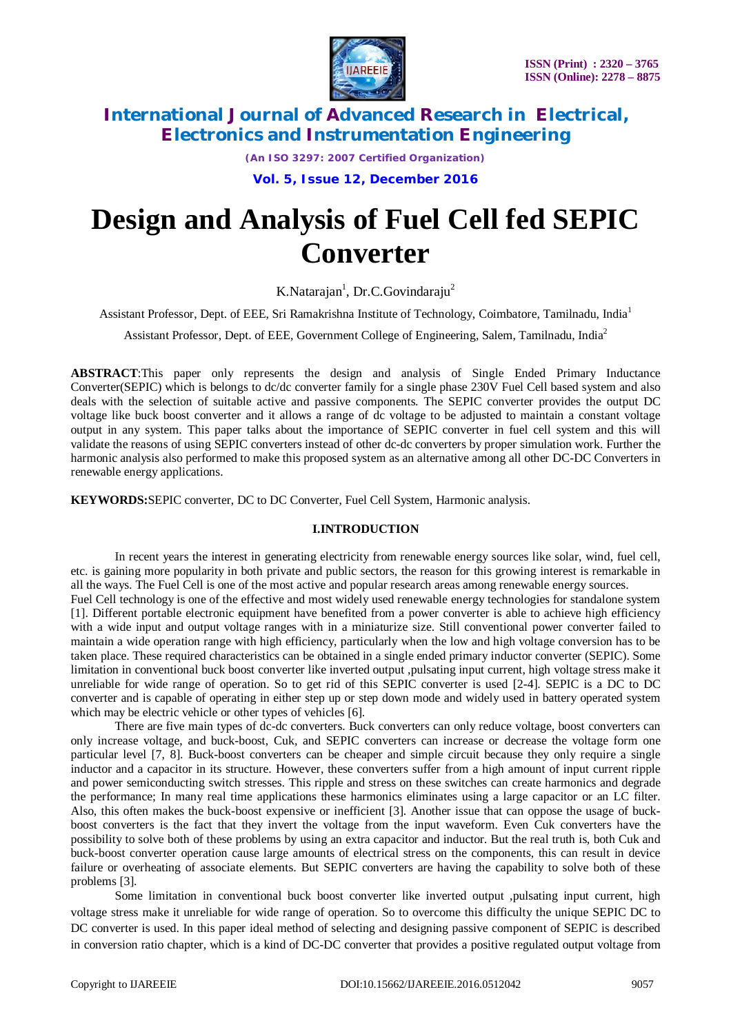

*(An ISO 3297: 2007 Certified Organization)*

**Vol. 5, Issue 12, December 2016**

# **Design and Analysis of Fuel Cell fed SEPIC Converter**

K.Natarajan<sup>1</sup>, Dr.C.Govindaraju<sup>2</sup>

Assistant Professor, Dept. of EEE, Sri Ramakrishna Institute of Technology, Coimbatore, Tamilnadu, India<sup>1</sup>

Assistant Professor, Dept. of EEE, Government College of Engineering, Salem, Tamilnadu, India<sup>2</sup>

**ABSTRACT**:This paper only represents the design and analysis of Single Ended Primary Inductance Converter(SEPIC) which is belongs to dc/dc converter family for a single phase 230V Fuel Cell based system and also deals with the selection of suitable active and passive components. The SEPIC converter provides the output DC voltage like buck boost converter and it allows a range of dc voltage to be adjusted to maintain a constant voltage output in any system. This paper talks about the importance of SEPIC converter in fuel cell system and this will validate the reasons of using SEPIC converters instead of other dc-dc converters by proper simulation work. Further the harmonic analysis also performed to make this proposed system as an alternative among all other DC-DC Converters in renewable energy applications.

**KEYWORDS:**SEPIC converter, DC to DC Converter, Fuel Cell System, Harmonic analysis.

#### **I.INTRODUCTION**

In recent years the interest in generating electricity from renewable energy sources like solar, wind, fuel cell, etc. is gaining more popularity in both private and public sectors, the reason for this growing interest is remarkable in all the ways. The Fuel Cell is one of the most active and popular research areas among renewable energy sources. Fuel Cell technology is one of the effective and most widely used renewable energy technologies for standalone system [1]. Different portable electronic equipment have benefited from a power converter is able to achieve high efficiency with a wide input and output voltage ranges with in a miniaturize size. Still conventional power converter failed to maintain a wide operation range with high efficiency, particularly when the low and high voltage conversion has to be taken place. These required characteristics can be obtained in a single ended primary inductor converter (SEPIC). Some

limitation in conventional buck boost converter like inverted output ,pulsating input current, high voltage stress make it unreliable for wide range of operation. So to get rid of this SEPIC converter is used [2-4]. SEPIC is a DC to DC converter and is capable of operating in either step up or step down mode and widely used in battery operated system which may be electric vehicle or other types of vehicles [6].

There are five main types of dc-dc converters. Buck converters can only reduce voltage, boost converters can only increase voltage, and buck-boost, Cuk, and SEPIC converters can increase or decrease the voltage form one particular level [7, 8]. Buck-boost converters can be cheaper and simple circuit because they only require a single inductor and a capacitor in its structure. However, these converters suffer from a high amount of input current ripple and power semiconducting switch stresses. This ripple and stress on these switches can create harmonics and degrade the performance; In many real time applications these harmonics eliminates using a large capacitor or an LC filter. Also, this often makes the buck-boost expensive or inefficient [3]. Another issue that can oppose the usage of buckboost converters is the fact that they invert the voltage from the input waveform. Even Cuk converters have the possibility to solve both of these problems by using an extra capacitor and inductor. But the real truth is, both Cuk and buck-boost converter operation cause large amounts of electrical stress on the components, this can result in device failure or overheating of associate elements. But SEPIC converters are having the capability to solve both of these problems [3].

Some limitation in conventional buck boost converter like inverted output ,pulsating input current, high voltage stress make it unreliable for wide range of operation. So to overcome this difficulty the unique SEPIC DC to DC converter is used. In this paper ideal method of selecting and designing passive component of SEPIC is described in conversion ratio chapter, which is a kind of DC-DC converter that provides a positive regulated output voltage from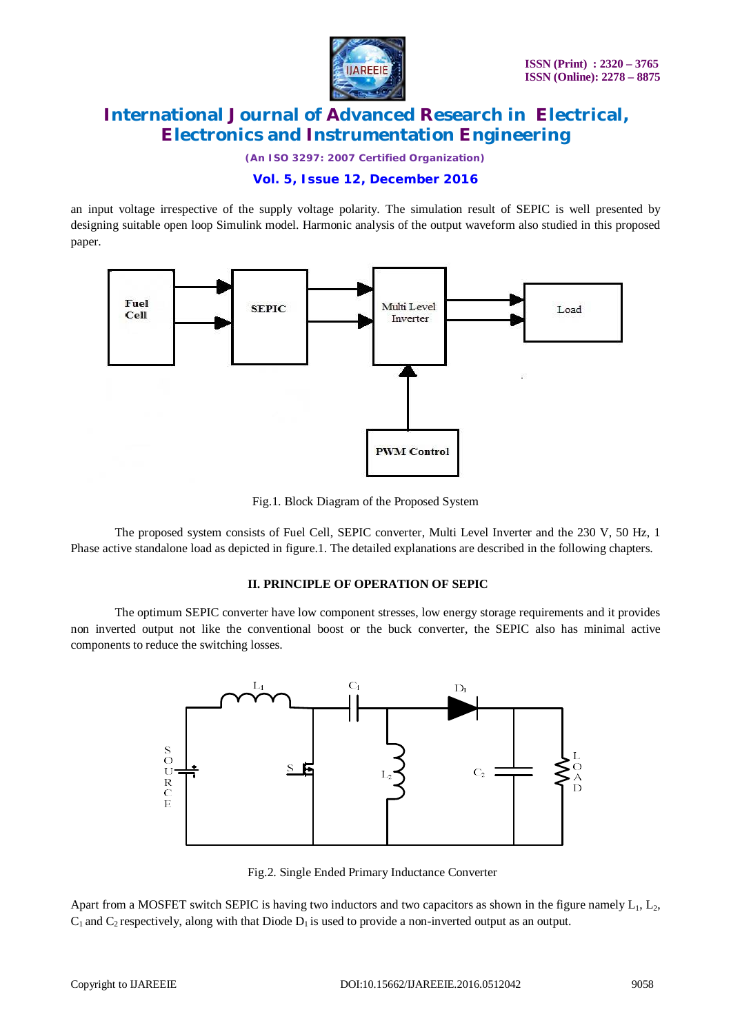

*(An ISO 3297: 2007 Certified Organization)*

### **Vol. 5, Issue 12, December 2016**

an input voltage irrespective of the supply voltage polarity. The simulation result of SEPIC is well presented by designing suitable open loop Simulink model. Harmonic analysis of the output waveform also studied in this proposed paper.



Fig.1. Block Diagram of the Proposed System

The proposed system consists of Fuel Cell, SEPIC converter, Multi Level Inverter and the 230 V, 50 Hz, 1 Phase active standalone load as depicted in figure.1. The detailed explanations are described in the following chapters.

#### **II. PRINCIPLE OF OPERATION OF SEPIC**

The optimum SEPIC converter have low component stresses, low energy storage requirements and it provides non inverted output not like the conventional boost or the buck converter, the SEPIC also has minimal active components to reduce the switching losses.



Fig.2. Single Ended Primary Inductance Converter

Apart from a MOSFET switch SEPIC is having two inductors and two capacitors as shown in the figure namely  $L_1$ ,  $L_2$ ,  $C_1$  and  $C_2$  respectively, along with that Diode  $D_1$  is used to provide a non-inverted output as an output.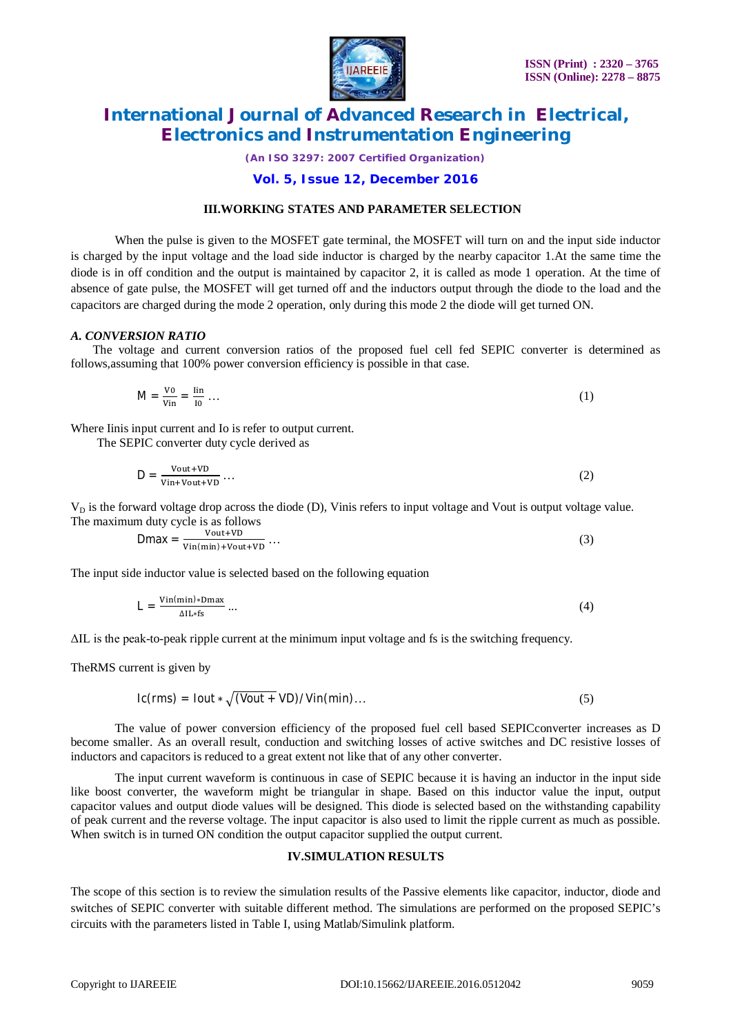

*(An ISO 3297: 2007 Certified Organization)*

### **Vol. 5, Issue 12, December 2016**

#### **III.WORKING STATES AND PARAMETER SELECTION**

When the pulse is given to the MOSFET gate terminal, the MOSFET will turn on and the input side inductor is charged by the input voltage and the load side inductor is charged by the nearby capacitor 1.At the same time the diode is in off condition and the output is maintained by capacitor 2, it is called as mode 1 operation. At the time of absence of gate pulse, the MOSFET will get turned off and the inductors output through the diode to the load and the capacitors are charged during the mode 2 operation, only during this mode 2 the diode will get turned ON.

#### *A. CONVERSION RATIO*

The voltage and current conversion ratios of the proposed fuel cell fed SEPIC converter is determined as follows,assuming that 100% power conversion efficiency is possible in that case.

$$
M = \frac{V_0}{V_{\text{in}}} = \frac{\text{lin}}{10} \dots \tag{1}
$$

Where Iinis input current and Io is refer to output current.

The SEPIC converter duty cycle derived as

$$
D = \frac{\text{Vout+VD}}{\text{Vin+Vout+VD}} \dots \tag{2}
$$

 $V_D$  is the forward voltage drop across the diode (D), Vinis refers to input voltage and Vout is output voltage value. The maximum duty cycle is as follows

$$
Dmax = \frac{Vout+VD}{Vin(min)+Vout+VD} \dots \tag{3}
$$

The input side inductor value is selected based on the following equation

$$
L = \frac{\text{Vin}(min) * \text{Dmax}}{\Delta I L * fs} \dots \tag{4}
$$

ΔIL is the peak-to-peak ripple current at the minimum input voltage and fs is the switching frequency.

TheRMS current is given by

$$
lc(rms) = Iout * \sqrt{(Vout + VD) / Vin(min)}...
$$
 (5)

The value of power conversion efficiency of the proposed fuel cell based SEPICconverter increases as D become smaller. As an overall result, conduction and switching losses of active switches and DC resistive losses of inductors and capacitors is reduced to a great extent not like that of any other converter.

The input current waveform is continuous in case of SEPIC because it is having an inductor in the input side like boost converter, the waveform might be triangular in shape. Based on this inductor value the input, output capacitor values and output diode values will be designed. This diode is selected based on the withstanding capability of peak current and the reverse voltage. The input capacitor is also used to limit the ripple current as much as possible. When switch is in turned ON condition the output capacitor supplied the output current.

### **IV.SIMULATION RESULTS**

The scope of this section is to review the simulation results of the Passive elements like capacitor, inductor, diode and switches of SEPIC converter with suitable different method. The simulations are performed on the proposed SEPIC's circuits with the parameters listed in Table I, using Matlab/Simulink platform.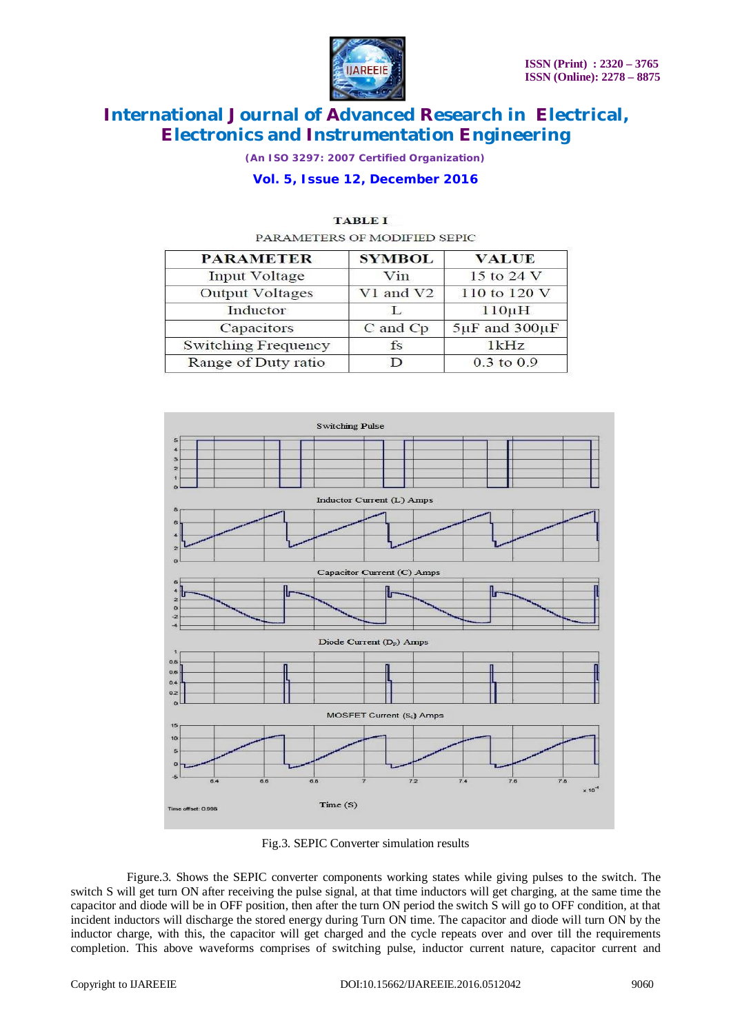

*(An ISO 3297: 2007 Certified Organization)*

### **Vol. 5, Issue 12, December 2016**

| <b>PARAMETER</b>           | <b>SYMBOL</b> | <b>VALUE</b>            |
|----------------------------|---------------|-------------------------|
| <b>Input Voltage</b>       | Vin           | 15 to 24 V              |
| <b>Output Voltages</b>     | V1 and V2     | 110 to 120 V            |
| Inductor                   | Τ.            | $110\mu H$              |
| Capacitors                 | C and Cp      | $5\mu$ F and $300\mu$ F |
| <b>Switching Frequency</b> | $f_S$         | 1kHz                    |
| Range of Duty ratio        |               | $0.3$ to $0.9$          |

#### **TABLE I**

PARAMETERS OF MODIFIED SEPIC



Fig.3. SEPIC Converter simulation results

 Figure.3. Shows the SEPIC converter components working states while giving pulses to the switch. The switch S will get turn ON after receiving the pulse signal, at that time inductors will get charging, at the same time the capacitor and diode will be in OFF position, then after the turn ON period the switch S will go to OFF condition, at that incident inductors will discharge the stored energy during Turn ON time. The capacitor and diode will turn ON by the inductor charge, with this, the capacitor will get charged and the cycle repeats over and over till the requirements completion. This above waveforms comprises of switching pulse, inductor current nature, capacitor current and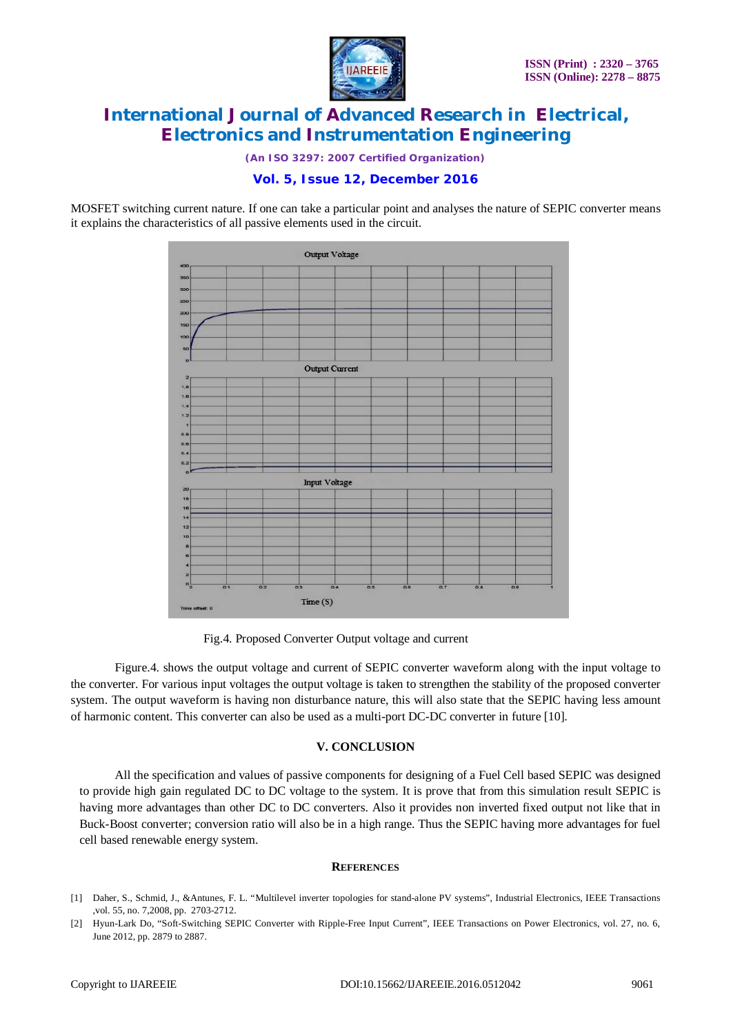

*(An ISO 3297: 2007 Certified Organization)*

### **Vol. 5, Issue 12, December 2016**

MOSFET switching current nature. If one can take a particular point and analyses the nature of SEPIC converter means it explains the characteristics of all passive elements used in the circuit.



Fig.4. Proposed Converter Output voltage and current

Figure.4. shows the output voltage and current of SEPIC converter waveform along with the input voltage to the converter. For various input voltages the output voltage is taken to strengthen the stability of the proposed converter system. The output waveform is having non disturbance nature, this will also state that the SEPIC having less amount of harmonic content. This converter can also be used as a multi-port DC-DC converter in future [10].

### **V. CONCLUSION**

All the specification and values of passive components for designing of a Fuel Cell based SEPIC was designed to provide high gain regulated DC to DC voltage to the system. It is prove that from this simulation result SEPIC is having more advantages than other DC to DC converters. Also it provides non inverted fixed output not like that in Buck-Boost converter; conversion ratio will also be in a high range. Thus the SEPIC having more advantages for fuel cell based renewable energy system.

#### **REFERENCES**

- [1] Daher, S., Schmid, J., &Antunes, F. L. "Multilevel inverter topologies for stand-alone PV systems", Industrial Electronics, IEEE Transactions ,vol. 55, no. 7,2008, pp. 2703-2712.
- [2] Hyun-Lark Do, "Soft-Switching SEPIC Converter with Ripple-Free Input Current", IEEE Transactions on Power Electronics, vol. 27, no. 6, June 2012, pp. 2879 to 2887.